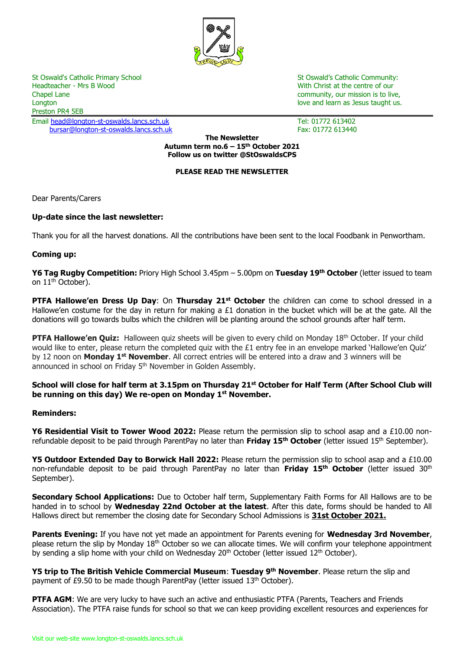

Headteacher - Mrs B Wood With Christ at the centre of our Chapel Lane community, our mission is to live, Longton love and learn as Jesus taught us. The love and love and learn as Jesus taught us. Preston PR4 5EB

Email [head@longton-st-oswalds.lancs.sch.uk](mailto:head@longton-st-oswalds.lancs.sch.uk) Tel: 01772 613402 [bursar@longton-st-oswalds.lancs.sch.uk](mailto:bursar@longton-st-oswalds.lancs.sch.uk) Fax: 01772 613440

St Oswald's Catholic Primary School St Oswald's Catholic Community:

**The Newsletter Autumn term no.6 – 15th October 2021 Follow us on twitter @StOswaldsCPS**

## **PLEASE READ THE NEWSLETTER**

Dear Parents/Carers

# **Up-date since the last newsletter:**

Thank you for all the harvest donations. All the contributions have been sent to the local Foodbank in Penwortham.

#### **Coming up:**

**Y6 Tag Rugby Competition:** Priory High School 3.45pm – 5.00pm on **Tuesday 19th October** (letter issued to team on 11<sup>th</sup> October).

**PTFA Hallowe'en Dress Up Day**: On **Thursday 21st October** the children can come to school dressed in a Hallowe'en costume for the day in return for making a £1 donation in the bucket which will be at the gate. All the donations will go towards bulbs which the children will be planting around the school grounds after half term.

**PTFA Hallowe'en Quiz:** Halloween quiz sheets will be given to every child on Monday 18th October. If your child would like to enter, please return the completed quiz with the £1 entry fee in an envelope marked 'Hallowe'en Quiz' by 12 noon on **Monday 1st November**. All correct entries will be entered into a draw and 3 winners will be announced in school on Friday 5<sup>th</sup> November in Golden Assembly.

# **School will close for half term at 3.15pm on Thursday 21st October for Half Term (After School Club will be running on this day) We re-open on Monday 1st November.**

#### **Reminders:**

**Y6 Residential Visit to Tower Wood 2022:** Please return the permission slip to school asap and a £10.00 nonrefundable deposit to be paid through ParentPay no later than **Friday 15th October** (letter issued 15th September).

**Y5 Outdoor Extended Day to Borwick Hall 2022:** Please return the permission slip to school asap and a £10.00 non-refundable deposit to be paid through ParentPay no later than **Friday 15th October** (letter issued 30th September).

**Secondary School Applications:** Due to October half term, Supplementary Faith Forms for All Hallows are to be handed in to school by **Wednesday 22nd October at the latest**. After this date, forms should be handed to All Hallows direct but remember the closing date for Secondary School Admissions is **31st October 2021.** 

**Parents Evening:** If you have not yet made an appointment for Parents evening for **Wednesday 3rd November**, please return the slip by Monday 18<sup>th</sup> October so we can allocate times. We will confirm your telephone appointment by sending a slip home with your child on Wednesday 20<sup>th</sup> October (letter issued 12<sup>th</sup> October).

**Y5 trip to The British Vehicle Commercial Museum**: **Tuesday 9th November**. Please return the slip and payment of £9.50 to be made though ParentPay (letter issued 13<sup>th</sup> October).

**PTFA AGM**: We are very lucky to have such an active and enthusiastic PTFA (Parents, Teachers and Friends Association). The PTFA raise funds for school so that we can keep providing excellent resources and experiences for